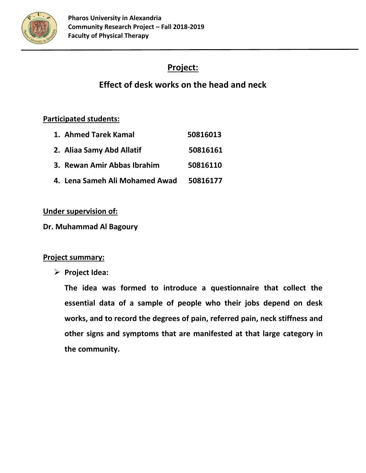

## **Project:**

# **Effect of desk works on the head and neck**

### **Participated students:**

| 1. Ahmed Tarek Kamal           | 50816013 |
|--------------------------------|----------|
| 2. Aliaa Samy Abd Allatif      | 50816161 |
| 3. Rewan Amir Abbas Ibrahim    | 50816110 |
| 4. Lena Sameh Ali Mohamed Awad | 50816177 |

#### **Under supervision of:**

#### **Dr. Muhammad Al Bagoury**

#### **Project summary:**

➢ **Project Idea:**

**The idea was formed to introduce a questionnaire that collect the essential data of a sample of people who their jobs depend on desk works, and to record the degrees of pain, referred pain, neck stiffness and other signs and symptoms that are manifested at that large category in the community.**